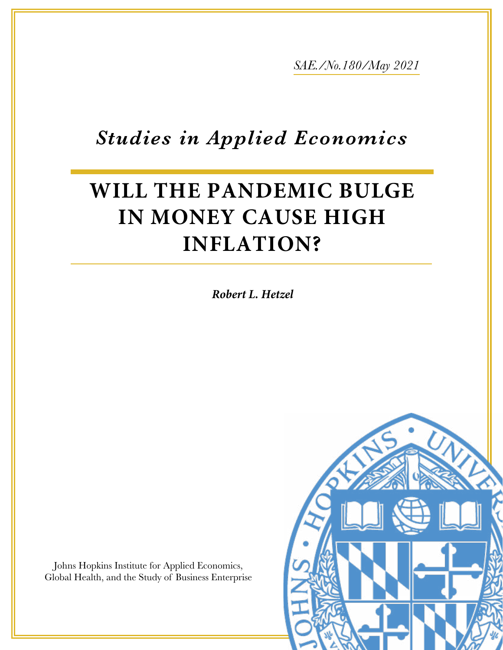*SAE./No.180/May 2021*

# *Studies in Applied Economics*

# **WILL THE PANDEMIC BULGE IN MONEY CAUSE HIGH INFLATION?**

*Robert L. Hetzel*

Johns Hopkins Institute for Applied Economics, Global Health, and the Study of Business Enterprise

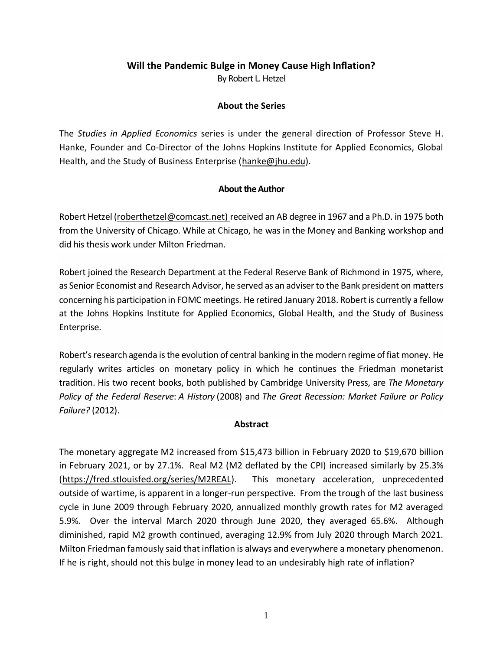# **Will the Pandemic Bulge in Money Cause High Inflation?** By Robert L. Hetzel

# **About the Series**

The *Studies in Applied Economics* series is under the general direction of Professor Steve H. Hanke, Founder and Co-Director of the Johns Hopkins Institute for Applied Economics, Global Health, and the Study of Business Enterprise [\(hanke@jhu.edu\)](mailto:hanke@jhu.edu).

# **About the Author**

Robert Hetzel [\(roberthetzel@comcast.net\)](mailto:roberthetzel@comcast.net) received an AB degree in 1967 and a Ph.D. in 1975 both from the University of Chicago. While at Chicago, he was in the Money and Banking workshop and did his thesis work under Milton Friedman.

Robert joined the Research Department at the Federal Reserve Bank of Richmond in 1975, where, as Senior Economist and Research Advisor, he served as an adviser to the Bank president on matters concerning his participation in FOMC meetings. He retired January 2018. Robert is currently a fellow at the Johns Hopkins Institute for Applied Economics, Global Health, and the Study of Business Enterprise.

Robert's research agenda is the evolution of central banking in the modern regime of fiat money. He regularly writes articles on monetary policy in which he continues the Friedman monetarist tradition. His two recent books, both published by Cambridge University Press, are *The Monetary Policy of the Federal Reserve*: *A History* (2008) and *The Great Recession: Market Failure or Policy Failure?* (2012).

### **Abstract**

The monetary aggregate M2 increased from \$15,473 billion in February 2020 to \$19,670 billion in February 2021, or by 27.1%. Real M2 (M2 deflated by the CPI) increased similarly by 25.3% [\(https://fred.stlouisfed.org/series/M2REAL\)](https://fred.stlouisfed.org/series/M2REAL). This monetary acceleration, unprecedented outside of wartime, is apparent in a longer-run perspective. From the trough of the last business cycle in June 2009 through February 2020, annualized monthly growth rates for M2 averaged 5.9%. Over the interval March 2020 through June 2020, they averaged 65.6%. Although diminished, rapid M2 growth continued, averaging 12.9% from July 2020 through March 2021. Milton Friedman famously said that inflation is always and everywhere a monetary phenomenon. If he is right, should not this bulge in money lead to an undesirably high rate of inflation?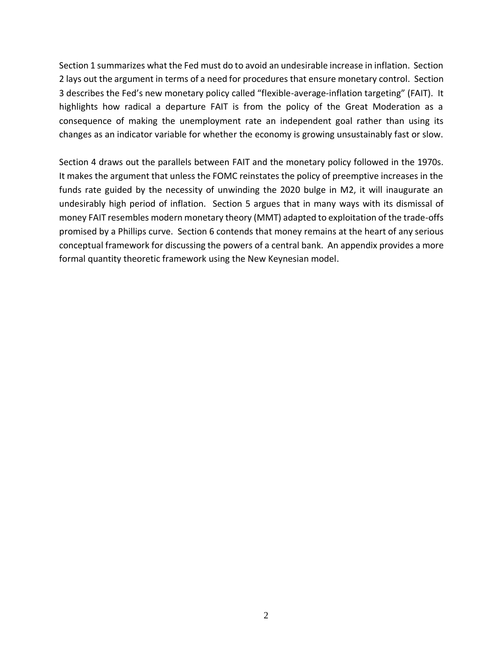Section 1 summarizes what the Fed must do to avoid an undesirable increase in inflation. Section 2 lays out the argument in terms of a need for procedures that ensure monetary control. Section 3 describes the Fed's new monetary policy called "flexible-average-inflation targeting" (FAIT). It highlights how radical a departure FAIT is from the policy of the Great Moderation as a consequence of making the unemployment rate an independent goal rather than using its changes as an indicator variable for whether the economy is growing unsustainably fast or slow.

Section 4 draws out the parallels between FAIT and the monetary policy followed in the 1970s. It makes the argument that unless the FOMC reinstates the policy of preemptive increases in the funds rate guided by the necessity of unwinding the 2020 bulge in M2, it will inaugurate an undesirably high period of inflation. Section 5 argues that in many ways with its dismissal of money FAIT resembles modern monetary theory (MMT) adapted to exploitation of the trade-offs promised by a Phillips curve. Section 6 contends that money remains at the heart of any serious conceptual framework for discussing the powers of a central bank. An appendix provides a more formal quantity theoretic framework using the New Keynesian model.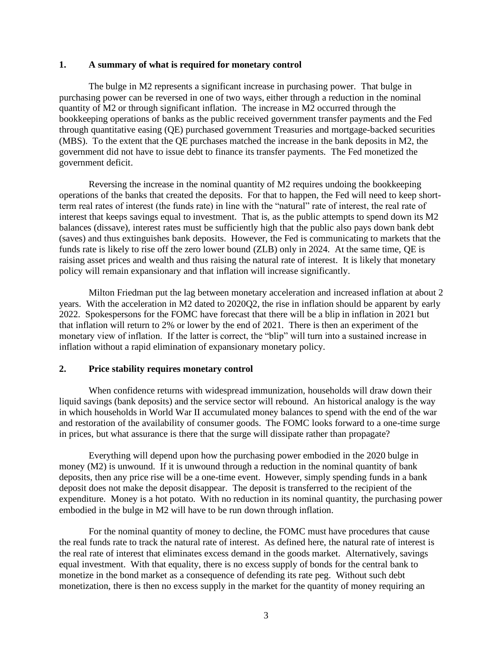#### **1. A summary of what is required for monetary control**

The bulge in M2 represents a significant increase in purchasing power. That bulge in purchasing power can be reversed in one of two ways, either through a reduction in the nominal quantity of M2 or through significant inflation. The increase in M2 occurred through the bookkeeping operations of banks as the public received government transfer payments and the Fed through quantitative easing (QE) purchased government Treasuries and mortgage-backed securities (MBS). To the extent that the QE purchases matched the increase in the bank deposits in M2, the government did not have to issue debt to finance its transfer payments. The Fed monetized the government deficit.

Reversing the increase in the nominal quantity of M2 requires undoing the bookkeeping operations of the banks that created the deposits. For that to happen, the Fed will need to keep shortterm real rates of interest (the funds rate) in line with the "natural" rate of interest, the real rate of interest that keeps savings equal to investment. That is, as the public attempts to spend down its M2 balances (dissave), interest rates must be sufficiently high that the public also pays down bank debt (saves) and thus extinguishes bank deposits. However, the Fed is communicating to markets that the funds rate is likely to rise off the zero lower bound (ZLB) only in 2024. At the same time, QE is raising asset prices and wealth and thus raising the natural rate of interest. It is likely that monetary policy will remain expansionary and that inflation will increase significantly.

Milton Friedman put the lag between monetary acceleration and increased inflation at about 2 years. With the acceleration in M2 dated to 2020Q2, the rise in inflation should be apparent by early 2022. Spokespersons for the FOMC have forecast that there will be a blip in inflation in 2021 but that inflation will return to 2% or lower by the end of 2021. There is then an experiment of the monetary view of inflation. If the latter is correct, the "blip" will turn into a sustained increase in inflation without a rapid elimination of expansionary monetary policy.

#### **2. Price stability requires monetary control**

When confidence returns with widespread immunization, households will draw down their liquid savings (bank deposits) and the service sector will rebound. An historical analogy is the way in which households in World War II accumulated money balances to spend with the end of the war and restoration of the availability of consumer goods. The FOMC looks forward to a one-time surge in prices, but what assurance is there that the surge will dissipate rather than propagate?

Everything will depend upon how the purchasing power embodied in the 2020 bulge in money (M2) is unwound. If it is unwound through a reduction in the nominal quantity of bank deposits, then any price rise will be a one-time event. However, simply spending funds in a bank deposit does not make the deposit disappear. The deposit is transferred to the recipient of the expenditure. Money is a hot potato. With no reduction in its nominal quantity, the purchasing power embodied in the bulge in M2 will have to be run down through inflation.

For the nominal quantity of money to decline, the FOMC must have procedures that cause the real funds rate to track the natural rate of interest. As defined here, the natural rate of interest is the real rate of interest that eliminates excess demand in the goods market. Alternatively, savings equal investment. With that equality, there is no excess supply of bonds for the central bank to monetize in the bond market as a consequence of defending its rate peg. Without such debt monetization, there is then no excess supply in the market for the quantity of money requiring an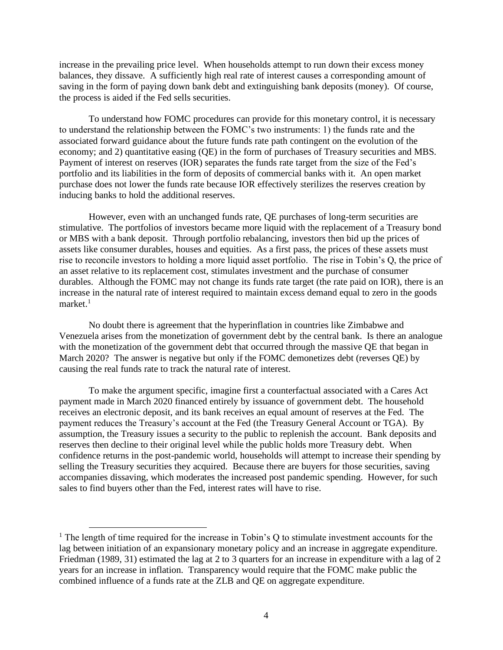increase in the prevailing price level. When households attempt to run down their excess money balances, they dissave. A sufficiently high real rate of interest causes a corresponding amount of saving in the form of paying down bank debt and extinguishing bank deposits (money). Of course, the process is aided if the Fed sells securities.

To understand how FOMC procedures can provide for this monetary control, it is necessary to understand the relationship between the FOMC's two instruments: 1) the funds rate and the associated forward guidance about the future funds rate path contingent on the evolution of the economy; and 2) quantitative easing (QE) in the form of purchases of Treasury securities and MBS. Payment of interest on reserves (IOR) separates the funds rate target from the size of the Fed's portfolio and its liabilities in the form of deposits of commercial banks with it. An open market purchase does not lower the funds rate because IOR effectively sterilizes the reserves creation by inducing banks to hold the additional reserves.

However, even with an unchanged funds rate, QE purchases of long-term securities are stimulative. The portfolios of investors became more liquid with the replacement of a Treasury bond or MBS with a bank deposit. Through portfolio rebalancing, investors then bid up the prices of assets like consumer durables, houses and equities. As a first pass, the prices of these assets must rise to reconcile investors to holding a more liquid asset portfolio. The rise in Tobin's Q, the price of an asset relative to its replacement cost, stimulates investment and the purchase of consumer durables. Although the FOMC may not change its funds rate target (the rate paid on IOR), there is an increase in the natural rate of interest required to maintain excess demand equal to zero in the goods  $market.<sup>1</sup>$ 

No doubt there is agreement that the hyperinflation in countries like Zimbabwe and Venezuela arises from the monetization of government debt by the central bank. Is there an analogue with the monetization of the government debt that occurred through the massive QE that began in March 2020? The answer is negative but only if the FOMC demonetizes debt (reverses QE) by causing the real funds rate to track the natural rate of interest.

To make the argument specific, imagine first a counterfactual associated with a Cares Act payment made in March 2020 financed entirely by issuance of government debt. The household receives an electronic deposit, and its bank receives an equal amount of reserves at the Fed. The payment reduces the Treasury's account at the Fed (the Treasury General Account or TGA). By assumption, the Treasury issues a security to the public to replenish the account. Bank deposits and reserves then decline to their original level while the public holds more Treasury debt. When confidence returns in the post-pandemic world, households will attempt to increase their spending by selling the Treasury securities they acquired. Because there are buyers for those securities, saving accompanies dissaving, which moderates the increased post pandemic spending. However, for such sales to find buyers other than the Fed, interest rates will have to rise.

 $<sup>1</sup>$  The length of time required for the increase in Tobin's Q to stimulate investment accounts for the</sup> lag between initiation of an expansionary monetary policy and an increase in aggregate expenditure. Friedman (1989, 31) estimated the lag at 2 to 3 quarters for an increase in expenditure with a lag of 2 years for an increase in inflation. Transparency would require that the FOMC make public the combined influence of a funds rate at the ZLB and QE on aggregate expenditure.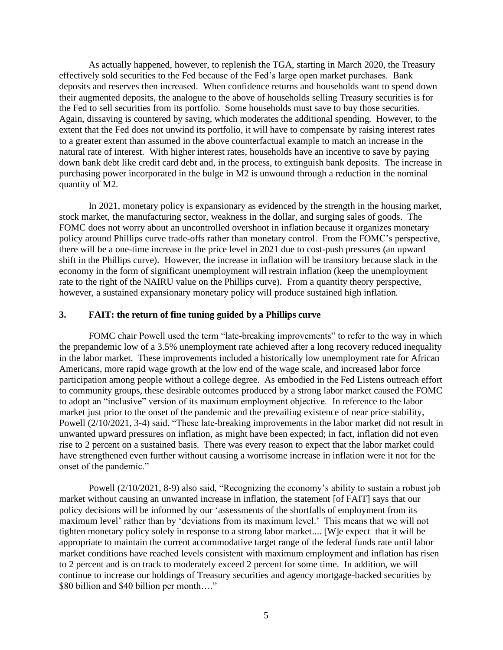As actually happened, however, to replenish the TGA, starting in March 2020, the Treasury effectively sold securities to the Fed because of the Fed's large open market purchases. Bank deposits and reserves then increased. When confidence returns and households want to spend down their augmented deposits, the analogue to the above of households selling Treasury securities is for the Fed to sell securities from its portfolio. Some households must save to buy those securities. Again, dissaving is countered by saving, which moderates the additional spending. However, to the extent that the Fed does not unwind its portfolio, it will have to compensate by raising interest rates to a greater extent than assumed in the above counterfactual example to match an increase in the natural rate of interest. With higher interest rates, households have an incentive to save by paying down bank debt like credit card debt and, in the process, to extinguish bank deposits. The increase in purchasing power incorporated in the bulge in M2 is unwound through a reduction in the nominal quantity of M2.

In 2021, monetary policy is expansionary as evidenced by the strength in the housing market, stock market, the manufacturing sector, weakness in the dollar, and surging sales of goods. The FOMC does not worry about an uncontrolled overshoot in inflation because it organizes monetary policy around Phillips curve trade-offs rather than monetary control. From the FOMC's perspective, there will be a one-time increase in the price level in 2021 due to cost-push pressures (an upward shift in the Phillips curve). However, the increase in inflation will be transitory because slack in the economy in the form of significant unemployment will restrain inflation (keep the unemployment rate to the right of the NAIRU value on the Phillips curve). From a quantity theory perspective, however, a sustained expansionary monetary policy will produce sustained high inflation.

#### **3. FAIT: the return of fine tuning guided by a Phillips curve**

FOMC chair Powell used the term "late-breaking improvements" to refer to the way in which the prepandemic low of a 3.5% unemployment rate achieved after a long recovery reduced inequality in the labor market. These improvements included a historically low unemployment rate for African Americans, more rapid wage growth at the low end of the wage scale, and increased labor force participation among people without a college degree. As embodied in the Fed Listens outreach effort to community groups, these desirable outcomes produced by a strong labor market caused the FOMC to adopt an "inclusive" version of its maximum employment objective. In reference to the labor market just prior to the onset of the pandemic and the prevailing existence of near price stability, Powell (2/10/2021, 3-4) said, "These late-breaking improvements in the labor market did not result in unwanted upward pressures on inflation, as might have been expected; in fact, inflation did not even rise to 2 percent on a sustained basis. There was every reason to expect that the labor market could have strengthened even further without causing a worrisome increase in inflation were it not for the onset of the pandemic."

Powell (2/10/2021, 8-9) also said, "Recognizing the economy's ability to sustain a robust job market without causing an unwanted increase in inflation, the statement [of FAIT] says that our policy decisions will be informed by our 'assessments of the shortfalls of employment from its maximum level' rather than by 'deviations from its maximum level.' This means that we will not tighten monetary policy solely in response to a strong labor market.... [W]e expect that it will be appropriate to maintain the current accommodative target range of the federal funds rate until labor market conditions have reached levels consistent with maximum employment and inflation has risen to 2 percent and is on track to moderately exceed 2 percent for some time. In addition, we will continue to increase our holdings of Treasury securities and agency mortgage-backed securities by \$80 billion and \$40 billion per month...."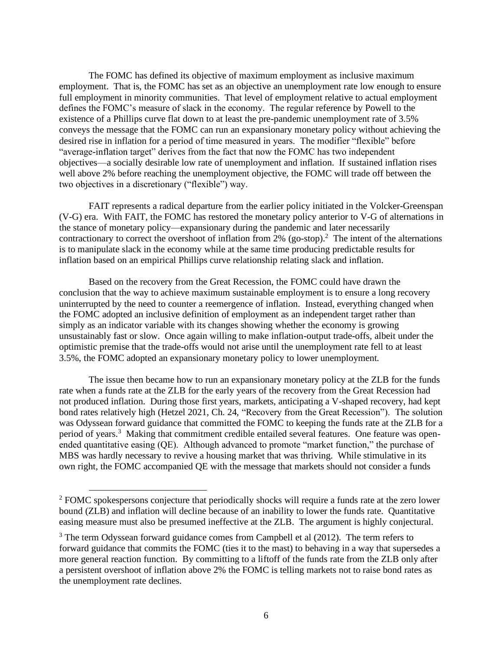The FOMC has defined its objective of maximum employment as inclusive maximum employment. That is, the FOMC has set as an objective an unemployment rate low enough to ensure full employment in minority communities. That level of employment relative to actual employment defines the FOMC's measure of slack in the economy. The regular reference by Powell to the existence of a Phillips curve flat down to at least the pre-pandemic unemployment rate of 3.5% conveys the message that the FOMC can run an expansionary monetary policy without achieving the desired rise in inflation for a period of time measured in years. The modifier "flexible" before "average-inflation target" derives from the fact that now the FOMC has two independent objectives—a socially desirable low rate of unemployment and inflation. If sustained inflation rises well above 2% before reaching the unemployment objective, the FOMC will trade off between the two objectives in a discretionary ("flexible") way.

FAIT represents a radical departure from the earlier policy initiated in the Volcker-Greenspan (V-G) era. With FAIT, the FOMC has restored the monetary policy anterior to V-G of alternations in the stance of monetary policy—expansionary during the pandemic and later necessarily contractionary to correct the overshoot of inflation from  $2\%$  (go-stop).<sup>2</sup> The intent of the alternations is to manipulate slack in the economy while at the same time producing predictable results for inflation based on an empirical Phillips curve relationship relating slack and inflation.

Based on the recovery from the Great Recession, the FOMC could have drawn the conclusion that the way to achieve maximum sustainable employment is to ensure a long recovery uninterrupted by the need to counter a reemergence of inflation. Instead, everything changed when the FOMC adopted an inclusive definition of employment as an independent target rather than simply as an indicator variable with its changes showing whether the economy is growing unsustainably fast or slow. Once again willing to make inflation-output trade-offs, albeit under the optimistic premise that the trade-offs would not arise until the unemployment rate fell to at least 3.5%, the FOMC adopted an expansionary monetary policy to lower unemployment.

The issue then became how to run an expansionary monetary policy at the ZLB for the funds rate when a funds rate at the ZLB for the early years of the recovery from the Great Recession had not produced inflation. During those first years, markets, anticipating a V-shaped recovery, had kept bond rates relatively high (Hetzel 2021, Ch. 24, "Recovery from the Great Recession"). The solution was Odyssean forward guidance that committed the FOMC to keeping the funds rate at the ZLB for a period of years.<sup>3</sup> Making that commitment credible entailed several features. One feature was openended quantitative easing (QE). Although advanced to promote "market function," the purchase of MBS was hardly necessary to revive a housing market that was thriving. While stimulative in its own right, the FOMC accompanied QE with the message that markets should not consider a funds

<sup>2</sup> FOMC spokespersons conjecture that periodically shocks will require a funds rate at the zero lower bound (ZLB) and inflation will decline because of an inability to lower the funds rate. Quantitative easing measure must also be presumed ineffective at the ZLB. The argument is highly conjectural.

<sup>&</sup>lt;sup>3</sup> The term Odyssean forward guidance comes from Campbell et al (2012). The term refers to forward guidance that commits the FOMC (ties it to the mast) to behaving in a way that supersedes a more general reaction function. By committing to a liftoff of the funds rate from the ZLB only after a persistent overshoot of inflation above 2% the FOMC is telling markets not to raise bond rates as the unemployment rate declines.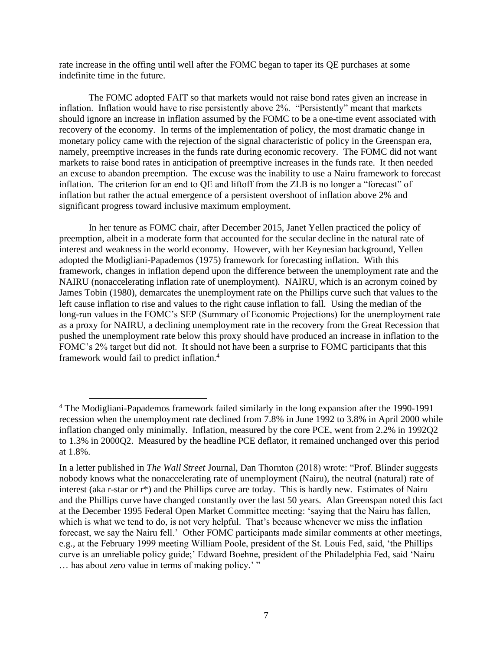rate increase in the offing until well after the FOMC began to taper its QE purchases at some indefinite time in the future.

The FOMC adopted FAIT so that markets would not raise bond rates given an increase in inflation. Inflation would have to rise persistently above 2%. "Persistently" meant that markets should ignore an increase in inflation assumed by the FOMC to be a one-time event associated with recovery of the economy. In terms of the implementation of policy, the most dramatic change in monetary policy came with the rejection of the signal characteristic of policy in the Greenspan era, namely, preemptive increases in the funds rate during economic recovery. The FOMC did not want markets to raise bond rates in anticipation of preemptive increases in the funds rate. It then needed an excuse to abandon preemption. The excuse was the inability to use a Nairu framework to forecast inflation. The criterion for an end to QE and liftoff from the ZLB is no longer a "forecast" of inflation but rather the actual emergence of a persistent overshoot of inflation above 2% and significant progress toward inclusive maximum employment.

In her tenure as FOMC chair, after December 2015, Janet Yellen practiced the policy of preemption, albeit in a moderate form that accounted for the secular decline in the natural rate of interest and weakness in the world economy. However, with her Keynesian background, Yellen adopted the Modigliani-Papademos (1975) framework for forecasting inflation. With this framework, changes in inflation depend upon the difference between the unemployment rate and the NAIRU (nonaccelerating inflation rate of unemployment). NAIRU, which is an acronym coined by James Tobin (1980), demarcates the unemployment rate on the Phillips curve such that values to the left cause inflation to rise and values to the right cause inflation to fall. Using the median of the long-run values in the FOMC's SEP (Summary of Economic Projections) for the unemployment rate as a proxy for NAIRU, a declining unemployment rate in the recovery from the Great Recession that pushed the unemployment rate below this proxy should have produced an increase in inflation to the FOMC's 2% target but did not. It should not have been a surprise to FOMC participants that this framework would fail to predict inflation.<sup>4</sup>

<sup>4</sup> The Modigliani-Papademos framework failed similarly in the long expansion after the 1990-1991 recession when the unemployment rate declined from 7.8% in June 1992 to 3.8% in April 2000 while inflation changed only minimally. Inflation, measured by the core PCE, went from 2.2% in 1992Q2 to 1.3% in 2000Q2. Measured by the headline PCE deflator, it remained unchanged over this period at 1.8%.

In a letter published in *The Wall Street* Journal, Dan Thornton (2018) wrote: "Prof. Blinder suggests nobody knows what the nonaccelerating rate of unemployment (Nairu), the neutral (natural) rate of interest (aka r-star or r\*) and the Phillips curve are today. This is hardly new. Estimates of Nairu and the Phillips curve have changed constantly over the last 50 years. Alan Greenspan noted this fact at the December 1995 Federal Open Market Committee meeting: 'saying that the Nairu has fallen, which is what we tend to do, is not very helpful. That's because whenever we miss the inflation forecast, we say the Nairu fell.' Other FOMC participants made similar comments at other meetings, e.g., at the February 1999 meeting William Poole, president of the St. Louis Fed, said, 'the Phillips curve is an unreliable policy guide;' Edward Boehne, president of the Philadelphia Fed, said 'Nairu ... has about zero value in terms of making policy.'"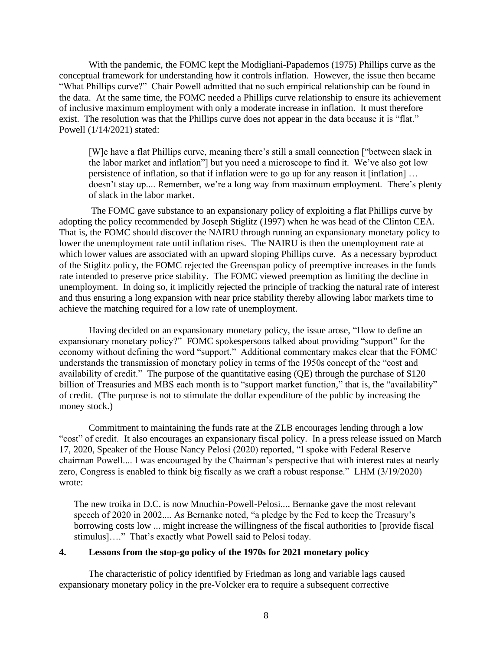With the pandemic, the FOMC kept the Modigliani-Papademos (1975) Phillips curve as the conceptual framework for understanding how it controls inflation. However, the issue then became "What Phillips curve?" Chair Powell admitted that no such empirical relationship can be found in the data. At the same time, the FOMC needed a Phillips curve relationship to ensure its achievement of inclusive maximum employment with only a moderate increase in inflation. It must therefore exist. The resolution was that the Phillips curve does not appear in the data because it is "flat." Powell (1/14/2021) stated:

[W]e have a flat Phillips curve, meaning there's still a small connection ["between slack in the labor market and inflation"] but you need a microscope to find it. We've also got low persistence of inflation, so that if inflation were to go up for any reason it [inflation] … doesn't stay up.... Remember, we're a long way from maximum employment. There's plenty of slack in the labor market.

The FOMC gave substance to an expansionary policy of exploiting a flat Phillips curve by adopting the policy recommended by Joseph Stiglitz (1997) when he was head of the Clinton CEA. That is, the FOMC should discover the NAIRU through running an expansionary monetary policy to lower the unemployment rate until inflation rises. The NAIRU is then the unemployment rate at which lower values are associated with an upward sloping Phillips curve. As a necessary byproduct of the Stiglitz policy, the FOMC rejected the Greenspan policy of preemptive increases in the funds rate intended to preserve price stability. The FOMC viewed preemption as limiting the decline in unemployment. In doing so, it implicitly rejected the principle of tracking the natural rate of interest and thus ensuring a long expansion with near price stability thereby allowing labor markets time to achieve the matching required for a low rate of unemployment.

Having decided on an expansionary monetary policy, the issue arose, "How to define an expansionary monetary policy?" FOMC spokespersons talked about providing "support" for the economy without defining the word "support." Additional commentary makes clear that the FOMC understands the transmission of monetary policy in terms of the 1950s concept of the "cost and availability of credit." The purpose of the quantitative easing (QE) through the purchase of \$120 billion of Treasuries and MBS each month is to "support market function," that is, the "availability" of credit. (The purpose is not to stimulate the dollar expenditure of the public by increasing the money stock.)

Commitment to maintaining the funds rate at the ZLB encourages lending through a low "cost" of credit. It also encourages an expansionary fiscal policy. In a press release issued on March 17, 2020, Speaker of the House Nancy Pelosi (2020) reported, "I spoke with Federal Reserve chairman Powell.... I was encouraged by the Chairman's perspective that with interest rates at nearly zero, Congress is enabled to think big fiscally as we craft a robust response." LHM (3/19/2020) wrote:

The new troika in D.C. is now Mnuchin-Powell-Pelosi.... Bernanke gave the most relevant speech of 2020 in 2002.... As Bernanke noted, "a pledge by the Fed to keep the Treasury's borrowing costs low ... might increase the willingness of the fiscal authorities to [provide fiscal stimulus]…." That's exactly what Powell said to Pelosi today.

#### **4. Lessons from the stop-go policy of the 1970s for 2021 monetary policy**

The characteristic of policy identified by Friedman as long and variable lags caused expansionary monetary policy in the pre-Volcker era to require a subsequent corrective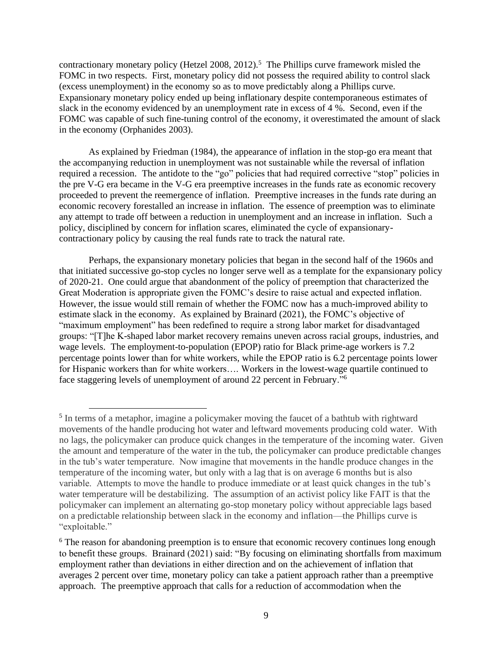contractionary monetary policy (Hetzel 2008, 2012).<sup>5</sup> The Phillips curve framework misled the FOMC in two respects. First, monetary policy did not possess the required ability to control slack (excess unemployment) in the economy so as to move predictably along a Phillips curve. Expansionary monetary policy ended up being inflationary despite contemporaneous estimates of slack in the economy evidenced by an unemployment rate in excess of 4 %. Second, even if the FOMC was capable of such fine-tuning control of the economy, it overestimated the amount of slack in the economy (Orphanides 2003).

As explained by Friedman (1984), the appearance of inflation in the stop-go era meant that the accompanying reduction in unemployment was not sustainable while the reversal of inflation required a recession. The antidote to the "go" policies that had required corrective "stop" policies in the pre V-G era became in the V-G era preemptive increases in the funds rate as economic recovery proceeded to prevent the reemergence of inflation. Preemptive increases in the funds rate during an economic recovery forestalled an increase in inflation. The essence of preemption was to eliminate any attempt to trade off between a reduction in unemployment and an increase in inflation. Such a policy, disciplined by concern for inflation scares, eliminated the cycle of expansionarycontractionary policy by causing the real funds rate to track the natural rate.

Perhaps, the expansionary monetary policies that began in the second half of the 1960s and that initiated successive go-stop cycles no longer serve well as a template for the expansionary policy of 2020-21. One could argue that abandonment of the policy of preemption that characterized the Great Moderation is appropriate given the FOMC's desire to raise actual and expected inflation. However, the issue would still remain of whether the FOMC now has a much-improved ability to estimate slack in the economy. As explained by Brainard (2021), the FOMC's objective of "maximum employment" has been redefined to require a strong labor market for disadvantaged groups: "[T]he K-shaped labor market recovery remains uneven across racial groups, industries, and wage levels. The employment-to-population (EPOP) ratio for Black prime-age workers is 7.2 percentage points lower than for white workers, while the EPOP ratio is 6.2 percentage points lower for Hispanic workers than for white workers…. Workers in the lowest-wage quartile continued to face staggering levels of unemployment of around 22 percent in February."<sup>6</sup>

<sup>&</sup>lt;sup>5</sup> In terms of a metaphor, imagine a policymaker moving the faucet of a bathtub with rightward movements of the handle producing hot water and leftward movements producing cold water. With no lags, the policymaker can produce quick changes in the temperature of the incoming water. Given the amount and temperature of the water in the tub, the policymaker can produce predictable changes in the tub's water temperature. Now imagine that movements in the handle produce changes in the temperature of the incoming water, but only with a lag that is on average 6 months but is also variable. Attempts to move the handle to produce immediate or at least quick changes in the tub's water temperature will be destabilizing. The assumption of an activist policy like FAIT is that the policymaker can implement an alternating go-stop monetary policy without appreciable lags based on a predictable relationship between slack in the economy and inflation—the Phillips curve is "exploitable."

<sup>&</sup>lt;sup>6</sup> The reason for abandoning preemption is to ensure that economic recovery continues long enough to benefit these groups. Brainard (2021) said: "By focusing on eliminating shortfalls from maximum employment rather than deviations in either direction and on the achievement of inflation that averages 2 percent over time, monetary policy can take a patient approach rather than a preemptive approach. The preemptive approach that calls for a reduction of accommodation when the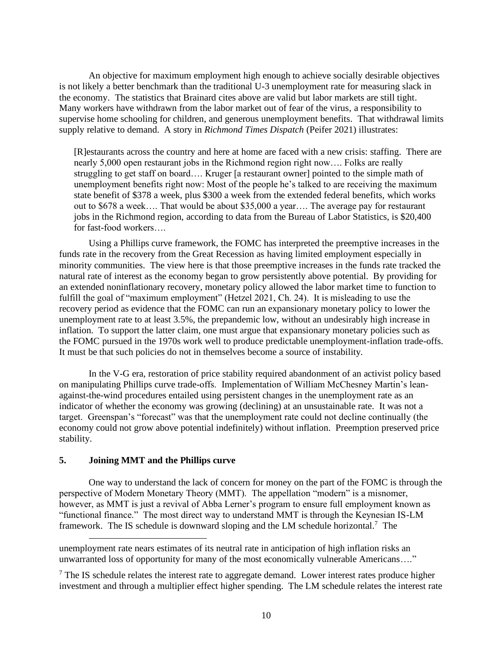An objective for maximum employment high enough to achieve socially desirable objectives is not likely a better benchmark than the traditional U-3 unemployment rate for measuring slack in the economy. The statistics that Brainard cites above are valid but labor markets are still tight. Many workers have withdrawn from the labor market out of fear of the virus, a responsibility to supervise home schooling for children, and generous unemployment benefits. That withdrawal limits supply relative to demand. A story in *Richmond Times Dispatch* (Peifer 2021) illustrates:

[R]estaurants across the country and here at home are faced with a new crisis: staffing. There are nearly 5,000 open restaurant jobs in the Richmond region right now…. Folks are really struggling to get staff on board…. Kruger [a restaurant owner] pointed to the simple math of unemployment benefits right now: Most of the people he's talked to are receiving the maximum state benefit of \$378 a week, plus \$300 a week from the extended federal benefits, which works out to \$678 a week…. That would be about \$35,000 a year…. The average pay for restaurant jobs in the Richmond region, according to data from the Bureau of Labor Statistics, is \$20,400 for fast-food workers….

Using a Phillips curve framework, the FOMC has interpreted the preemptive increases in the funds rate in the recovery from the Great Recession as having limited employment especially in minority communities. The view here is that those preemptive increases in the funds rate tracked the natural rate of interest as the economy began to grow persistently above potential. By providing for an extended noninflationary recovery, monetary policy allowed the labor market time to function to fulfill the goal of "maximum employment" (Hetzel 2021, Ch. 24). It is misleading to use the recovery period as evidence that the FOMC can run an expansionary monetary policy to lower the unemployment rate to at least 3.5%, the prepandemic low, without an undesirably high increase in inflation. To support the latter claim, one must argue that expansionary monetary policies such as the FOMC pursued in the 1970s work well to produce predictable unemployment-inflation trade-offs. It must be that such policies do not in themselves become a source of instability.

In the V-G era, restoration of price stability required abandonment of an activist policy based on manipulating Phillips curve trade-offs. Implementation of William McChesney Martin's leanagainst-the-wind procedures entailed using persistent changes in the unemployment rate as an indicator of whether the economy was growing (declining) at an unsustainable rate. It was not a target. Greenspan's "forecast" was that the unemployment rate could not decline continually (the economy could not grow above potential indefinitely) without inflation. Preemption preserved price stability.

#### **5. Joining MMT and the Phillips curve**

One way to understand the lack of concern for money on the part of the FOMC is through the perspective of Modern Monetary Theory (MMT). The appellation "modern" is a misnomer, however, as MMT is just a revival of Abba Lerner's program to ensure full employment known as "functional finance." The most direct way to understand MMT is through the Keynesian IS-LM framework. The IS schedule is downward sloping and the LM schedule horizontal.<sup>7</sup> The

unemployment rate nears estimates of its neutral rate in anticipation of high inflation risks an unwarranted loss of opportunity for many of the most economically vulnerable Americans…."

 $<sup>7</sup>$  The IS schedule relates the interest rate to aggregate demand. Lower interest rates produce higher</sup> investment and through a multiplier effect higher spending. The LM schedule relates the interest rate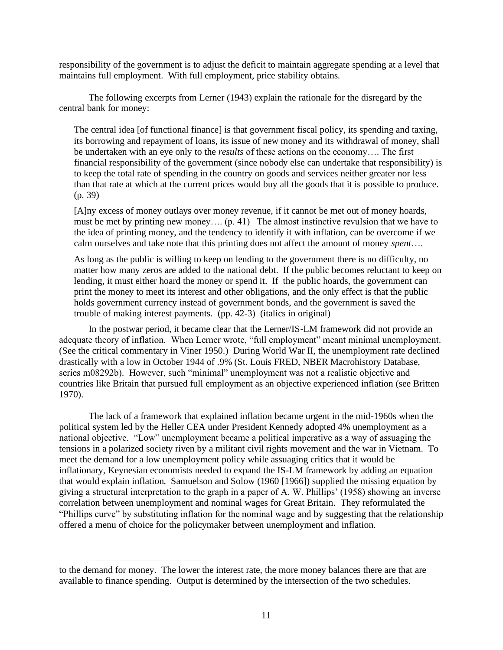responsibility of the government is to adjust the deficit to maintain aggregate spending at a level that maintains full employment. With full employment, price stability obtains.

The following excerpts from Lerner (1943) explain the rationale for the disregard by the central bank for money:

The central idea [of functional finance] is that government fiscal policy, its spending and taxing, its borrowing and repayment of loans, its issue of new money and its withdrawal of money, shall be undertaken with an eye only to the *results* of these actions on the economy…. The first financial responsibility of the government (since nobody else can undertake that responsibility) is to keep the total rate of spending in the country on goods and services neither greater nor less than that rate at which at the current prices would buy all the goods that it is possible to produce. (p. 39)

[A]ny excess of money outlays over money revenue, if it cannot be met out of money hoards, must be met by printing new money…. (p. 41) The almost instinctive revulsion that we have to the idea of printing money, and the tendency to identify it with inflation, can be overcome if we calm ourselves and take note that this printing does not affect the amount of money *spent*….

As long as the public is willing to keep on lending to the government there is no difficulty, no matter how many zeros are added to the national debt. If the public becomes reluctant to keep on lending, it must either hoard the money or spend it. If the public hoards, the government can print the money to meet its interest and other obligations, and the only effect is that the public holds government currency instead of government bonds, and the government is saved the trouble of making interest payments. (pp. 42-3) (italics in original)

In the postwar period, it became clear that the Lerner/IS-LM framework did not provide an adequate theory of inflation. When Lerner wrote, "full employment" meant minimal unemployment. (See the critical commentary in Viner 1950.) During World War II, the unemployment rate declined drastically with a low in October 1944 of .9% (St. Louis FRED, NBER Macrohistory Database, series m08292b). However, such "minimal" unemployment was not a realistic objective and countries like Britain that pursued full employment as an objective experienced inflation (see Britten 1970).

The lack of a framework that explained inflation became urgent in the mid-1960s when the political system led by the Heller CEA under President Kennedy adopted 4% unemployment as a national objective. "Low" unemployment became a political imperative as a way of assuaging the tensions in a polarized society riven by a militant civil rights movement and the war in Vietnam. To meet the demand for a low unemployment policy while assuaging critics that it would be inflationary, Keynesian economists needed to expand the IS-LM framework by adding an equation that would explain inflation. Samuelson and Solow (1960 [1966]) supplied the missing equation by giving a structural interpretation to the graph in a paper of A. W. Phillips' (1958) showing an inverse correlation between unemployment and nominal wages for Great Britain. They reformulated the "Phillips curve" by substituting inflation for the nominal wage and by suggesting that the relationship offered a menu of choice for the policymaker between unemployment and inflation.

to the demand for money. The lower the interest rate, the more money balances there are that are available to finance spending. Output is determined by the intersection of the two schedules.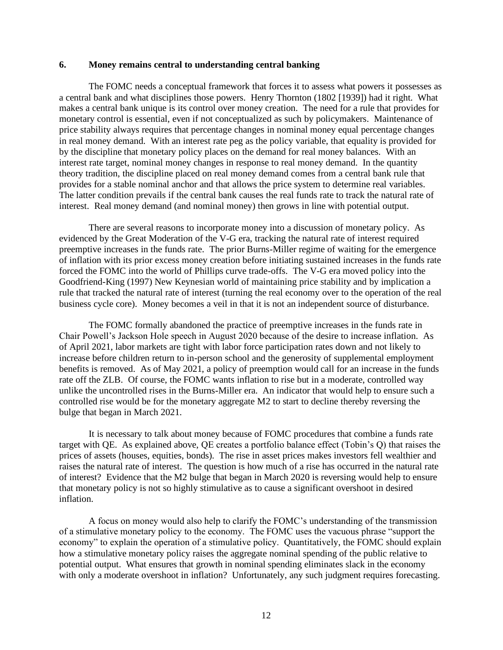#### **6. Money remains central to understanding central banking**

The FOMC needs a conceptual framework that forces it to assess what powers it possesses as a central bank and what disciplines those powers. Henry Thornton (1802 [1939]) had it right. What makes a central bank unique is its control over money creation. The need for a rule that provides for monetary control is essential, even if not conceptualized as such by policymakers. Maintenance of price stability always requires that percentage changes in nominal money equal percentage changes in real money demand. With an interest rate peg as the policy variable, that equality is provided for by the discipline that monetary policy places on the demand for real money balances. With an interest rate target, nominal money changes in response to real money demand. In the quantity theory tradition, the discipline placed on real money demand comes from a central bank rule that provides for a stable nominal anchor and that allows the price system to determine real variables. The latter condition prevails if the central bank causes the real funds rate to track the natural rate of interest. Real money demand (and nominal money) then grows in line with potential output.

There are several reasons to incorporate money into a discussion of monetary policy. As evidenced by the Great Moderation of the V-G era, tracking the natural rate of interest required preemptive increases in the funds rate. The prior Burns-Miller regime of waiting for the emergence of inflation with its prior excess money creation before initiating sustained increases in the funds rate forced the FOMC into the world of Phillips curve trade-offs. The V-G era moved policy into the Goodfriend-King (1997) New Keynesian world of maintaining price stability and by implication a rule that tracked the natural rate of interest (turning the real economy over to the operation of the real business cycle core). Money becomes a veil in that it is not an independent source of disturbance.

The FOMC formally abandoned the practice of preemptive increases in the funds rate in Chair Powell's Jackson Hole speech in August 2020 because of the desire to increase inflation. As of April 2021, labor markets are tight with labor force participation rates down and not likely to increase before children return to in-person school and the generosity of supplemental employment benefits is removed. As of May 2021, a policy of preemption would call for an increase in the funds rate off the ZLB. Of course, the FOMC wants inflation to rise but in a moderate, controlled way unlike the uncontrolled rises in the Burns-Miller era. An indicator that would help to ensure such a controlled rise would be for the monetary aggregate M2 to start to decline thereby reversing the bulge that began in March 2021.

It is necessary to talk about money because of FOMC procedures that combine a funds rate target with QE. As explained above, QE creates a portfolio balance effect (Tobin's Q) that raises the prices of assets (houses, equities, bonds). The rise in asset prices makes investors fell wealthier and raises the natural rate of interest. The question is how much of a rise has occurred in the natural rate of interest? Evidence that the M2 bulge that began in March 2020 is reversing would help to ensure that monetary policy is not so highly stimulative as to cause a significant overshoot in desired inflation.

A focus on money would also help to clarify the FOMC's understanding of the transmission of a stimulative monetary policy to the economy. The FOMC uses the vacuous phrase "support the economy" to explain the operation of a stimulative policy. Quantitatively, the FOMC should explain how a stimulative monetary policy raises the aggregate nominal spending of the public relative to potential output. What ensures that growth in nominal spending eliminates slack in the economy with only a moderate overshoot in inflation? Unfortunately, any such judgment requires forecasting.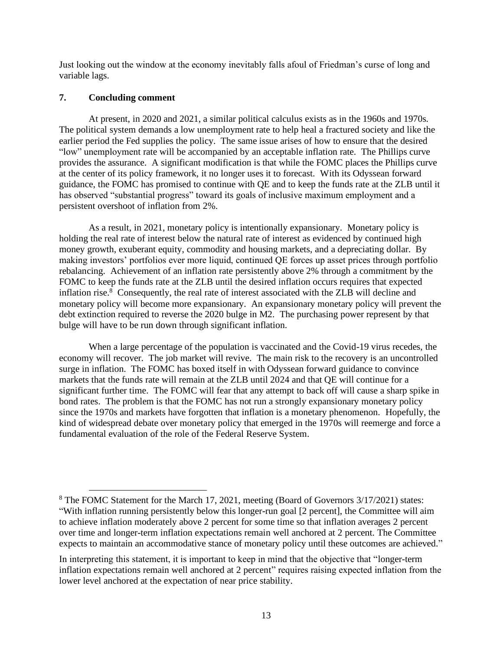Just looking out the window at the economy inevitably falls afoul of Friedman's curse of long and variable lags.

## **7. Concluding comment**

At present, in 2020 and 2021, a similar political calculus exists as in the 1960s and 1970s. The political system demands a low unemployment rate to help heal a fractured society and like the earlier period the Fed supplies the policy. The same issue arises of how to ensure that the desired "low" unemployment rate will be accompanied by an acceptable inflation rate. The Phillips curve provides the assurance. A significant modification is that while the FOMC places the Phillips curve at the center of its policy framework, it no longer uses it to forecast. With its Odyssean forward guidance, the FOMC has promised to continue with QE and to keep the funds rate at the ZLB until it has observed "substantial progress" toward its goals of inclusive maximum employment and a persistent overshoot of inflation from 2%.

As a result, in 2021, monetary policy is intentionally expansionary. Monetary policy is holding the real rate of interest below the natural rate of interest as evidenced by continued high money growth, exuberant equity, commodity and housing markets, and a depreciating dollar. By making investors' portfolios ever more liquid, continued QE forces up asset prices through portfolio rebalancing. Achievement of an inflation rate persistently above 2% through a commitment by the FOMC to keep the funds rate at the ZLB until the desired inflation occurs requires that expected inflation rise.<sup>8</sup> Consequently, the real rate of interest associated with the ZLB will decline and monetary policy will become more expansionary. An expansionary monetary policy will prevent the debt extinction required to reverse the 2020 bulge in M2. The purchasing power represent by that bulge will have to be run down through significant inflation.

When a large percentage of the population is vaccinated and the Covid-19 virus recedes, the economy will recover. The job market will revive. The main risk to the recovery is an uncontrolled surge in inflation. The FOMC has boxed itself in with Odyssean forward guidance to convince markets that the funds rate will remain at the ZLB until 2024 and that QE will continue for a significant further time. The FOMC will fear that any attempt to back off will cause a sharp spike in bond rates. The problem is that the FOMC has not run a strongly expansionary monetary policy since the 1970s and markets have forgotten that inflation is a monetary phenomenon. Hopefully, the kind of widespread debate over monetary policy that emerged in the 1970s will reemerge and force a fundamental evaluation of the role of the Federal Reserve System.

<sup>8</sup> The FOMC Statement for the March 17, 2021, meeting (Board of Governors 3/17/2021) states: "With inflation running persistently below this longer-run goal [2 percent], the Committee will aim to achieve inflation moderately above 2 percent for some time so that inflation averages 2 percent over time and longer-term inflation expectations remain well anchored at 2 percent. The Committee expects to maintain an accommodative stance of monetary policy until these outcomes are achieved."

In interpreting this statement, it is important to keep in mind that the objective that "longer-term inflation expectations remain well anchored at 2 percent" requires raising expected inflation from the lower level anchored at the expectation of near price stability.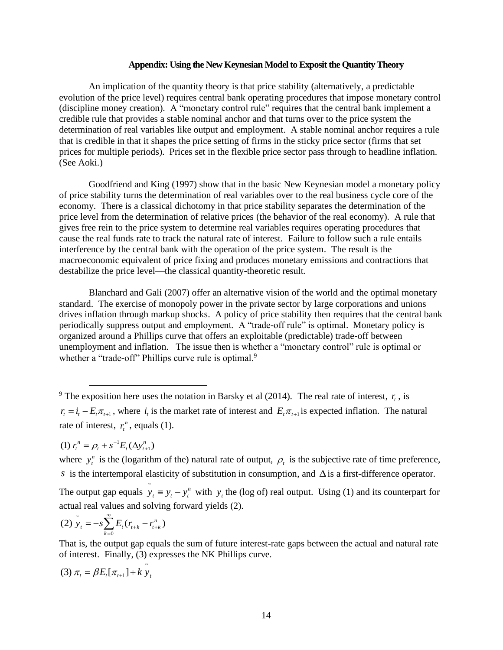#### **Appendix: Using the New Keynesian Model to Exposit the Quantity Theory**

An implication of the quantity theory is that price stability (alternatively, a predictable evolution of the price level) requires central bank operating procedures that impose monetary control (discipline money creation). A "monetary control rule" requires that the central bank implement a credible rule that provides a stable nominal anchor and that turns over to the price system the determination of real variables like output and employment. A stable nominal anchor requires a rule that is credible in that it shapes the price setting of firms in the sticky price sector (firms that set prices for multiple periods). Prices set in the flexible price sector pass through to headline inflation. (See Aoki.)

Goodfriend and King (1997) show that in the basic New Keynesian model a monetary policy of price stability turns the determination of real variables over to the real business cycle core of the economy. There is a classical dichotomy in that price stability separates the determination of the price level from the determination of relative prices (the behavior of the real economy). A rule that gives free rein to the price system to determine real variables requires operating procedures that cause the real funds rate to track the natural rate of interest. Failure to follow such a rule entails interference by the central bank with the operation of the price system. The result is the macroeconomic equivalent of price fixing and produces monetary emissions and contractions that destabilize the price level—the classical quantity-theoretic result.

Blanchard and Gali (2007) offer an alternative vision of the world and the optimal monetary standard. The exercise of monopoly power in the private sector by large corporations and unions drives inflation through markup shocks. A policy of price stability then requires that the central bank periodically suppress output and employment. A "trade-off rule" is optimal. Monetary policy is organized around a Phillips curve that offers an exploitable (predictable) trade-off between unemployment and inflation. The issue then is whether a "monetary control" rule is optimal or whether a "trade-off" Phillips curve rule is optimal.<sup>9</sup>

The output gap equals  $\tilde{y}_t = y_t - y_t^n$  with  $y_t$  the (log of) real output. Using (1) and its counterpart for actual real values and solving forward yields (2).

(2) 
$$
\tilde{y}_t = -s \sum_{k=0}^{\infty} E_t (r_{t+k} - r_{t+k}^n)
$$

That is, the output gap equals the sum of future interest-rate gaps between the actual and natural rate of interest. Finally, (3) expresses the NK Phillips curve.

(3) 
$$
\pi_t = \beta E_t[\pi_{t+1}] + k y_t
$$

<sup>&</sup>lt;sup>9</sup> The exposition here uses the notation in Barsky et al (2014). The real rate of interest,  $r_t$ , is  $r_t = i_t - E_t \pi_{t+1}$ , where  $i_t$  is the market rate of interest and  $E_t \pi_{t+1}$  is expected inflation. The natural rate of interest,  $r_t^n$ , equals (1).

 $(1)$   $r_t^n = \rho_t + s^{-1}E_t(\Delta y_{t+1}^n)$ 

where  $y_t^n$  is the (logarithm of the) natural rate of output,  $\rho_t$  is the subjective rate of time preference, *s* is the intertemporal elasticity of substitution in consumption, and  $\Delta$  is a first-difference operator.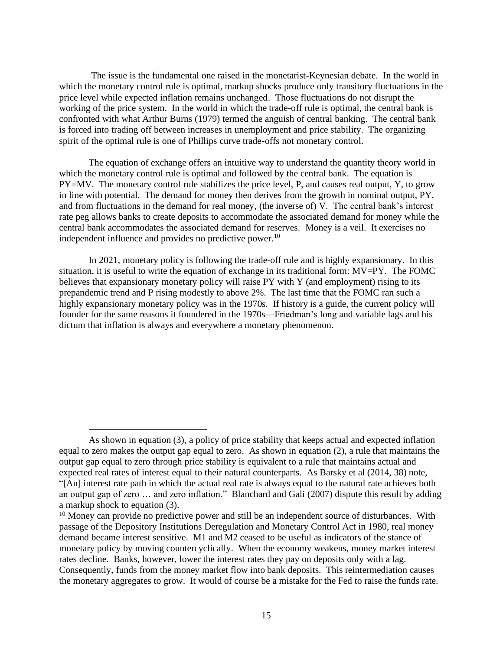The issue is the fundamental one raised in the monetarist-Keynesian debate. In the world in which the monetary control rule is optimal, markup shocks produce only transitory fluctuations in the price level while expected inflation remains unchanged. Those fluctuations do not disrupt the working of the price system. In the world in which the trade-off rule is optimal, the central bank is confronted with what Arthur Burns (1979) termed the anguish of central banking. The central bank is forced into trading off between increases in unemployment and price stability. The organizing spirit of the optimal rule is one of Phillips curve trade-offs not monetary control.

The equation of exchange offers an intuitive way to understand the quantity theory world in which the monetary control rule is optimal and followed by the central bank. The equation is PY=MV. The monetary control rule stabilizes the price level, P, and causes real output, Y, to grow in line with potential. The demand for money then derives from the growth in nominal output, PY, and from fluctuations in the demand for real money, (the inverse of) V. The central bank's interest rate peg allows banks to create deposits to accommodate the associated demand for money while the central bank accommodates the associated demand for reserves. Money is a veil. It exercises no independent influence and provides no predictive power.<sup>10</sup>

In 2021, monetary policy is following the trade-off rule and is highly expansionary. In this situation, it is useful to write the equation of exchange in its traditional form: MV=PY. The FOMC believes that expansionary monetary policy will raise PY with Y (and employment) rising to its prepandemic trend and P rising modestly to above 2%. The last time that the FOMC ran such a highly expansionary monetary policy was in the 1970s. If history is a guide, the current policy will founder for the same reasons it foundered in the 1970s—Friedman's long and variable lags and his dictum that inflation is always and everywhere a monetary phenomenon.

As shown in equation (3), a policy of price stability that keeps actual and expected inflation equal to zero makes the output gap equal to zero. As shown in equation (2), a rule that maintains the output gap equal to zero through price stability is equivalent to a rule that maintains actual and expected real rates of interest equal to their natural counterparts. As Barsky et al (2014, 38) note, "[An] interest rate path in which the actual real rate is always equal to the natural rate achieves both an output gap of zero … and zero inflation." Blanchard and Gali (2007) dispute this result by adding a markup shock to equation (3).

 $10$  Money can provide no predictive power and still be an independent source of disturbances. With passage of the Depository Institutions Deregulation and Monetary Control Act in 1980, real money demand became interest sensitive. M1 and M2 ceased to be useful as indicators of the stance of monetary policy by moving countercyclically. When the economy weakens, money market interest rates decline. Banks, however, lower the interest rates they pay on deposits only with a lag. Consequently, funds from the money market flow into bank deposits. This reintermediation causes the monetary aggregates to grow. It would of course be a mistake for the Fed to raise the funds rate.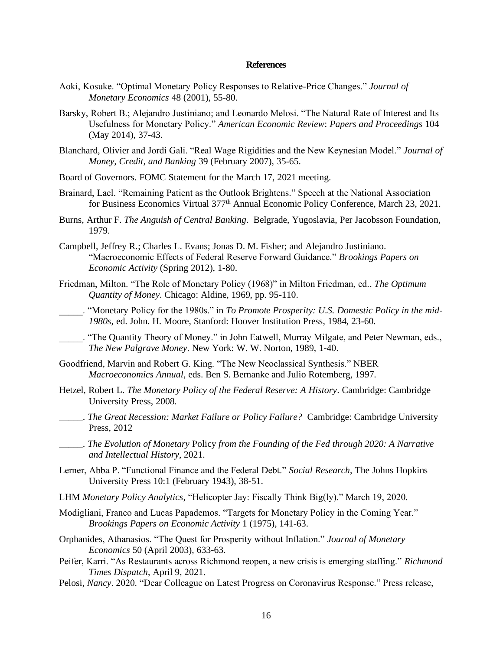#### **References**

- Aoki, Kosuke. "Optimal Monetary Policy Responses to Relative-Price Changes." *Journal of Monetary Economics* 48 (2001), 55-80.
- Barsky, Robert B.; Alejandro Justiniano; and Leonardo Melosi. "The Natural Rate of Interest and Its Usefulness for Monetary Policy." *American Economic Review*: *Papers and Proceedings* 104 (May 2014), 37-43.
- Blanchard, Olivier and Jordi Gali. "Real Wage Rigidities and the New Keynesian Model." *Journal of Money, Credit, and Banking* 39 (February 2007), 35-65.
- Board of Governors. FOMC Statement for the March 17, 2021 meeting.
- Brainard, Lael. "Remaining Patient as the Outlook Brightens." Speech at the National Association for Business Economics Virtual 377<sup>th</sup> Annual Economic Policy Conference, March 23, 2021.
- Burns, Arthur F. *The Anguish of Central Banking*. Belgrade, Yugoslavia, Per Jacobsson Foundation, 1979.
- Campbell, Jeffrey R.; Charles L. Evans; Jonas D. M. Fisher; and Alejandro Justiniano. "Macroeconomic Effects of Federal Reserve Forward Guidance." *Brookings Papers on Economic Activity* (Spring 2012), 1-80.
- Friedman, Milton. "The Role of Monetary Policy (1968)" in Milton Friedman, ed., *The Optimum Quantity of Money*. Chicago: Aldine, 1969, pp. 95-110.
- \_\_\_\_\_. "Monetary Policy for the 1980s." in *To Promote Prosperity: U.S. Domestic Policy in the mid-1980s*, ed. John. H. Moore, Stanford: Hoover Institution Press, 1984, 23-60.
- \_\_\_\_\_. "The Quantity Theory of Money." in John Eatwell, Murray Milgate, and Peter Newman, eds., *The New Palgrave Money*. New York: W. W. Norton, 1989, 1-40.
- Goodfriend, Marvin and Robert G. King. "The New Neoclassical Synthesis." NBER *Macroeconomics Annual*, eds. Ben S. Bernanke and Julio Rotemberg, 1997.
- Hetzel, Robert L. *The Monetary Policy of the Federal Reserve: A History*. Cambridge: Cambridge University Press, 2008.
- \_\_\_\_\_. *The Great Recession: Market Failure or Policy Failure?* Cambridge: Cambridge University Press, 2012
- \_\_\_\_\_. *The Evolution of Monetary* Policy *from the Founding of the Fed through 2020: A Narrative and Intellectual History*, 2021.
- Lerner, Abba P. "Functional Finance and the Federal Debt." *Social Research*, The Johns Hopkins University Press 10:1 (February 1943), 38-51.
- LHM *Monetary Policy Analytics*, "Helicopter Jay: Fiscally Think Big(ly)." March 19, 2020.
- Modigliani, Franco and Lucas Papademos. "Targets for Monetary Policy in the Coming Year." *Brookings Papers on Economic Activity* 1 (1975), 141-63.
- Orphanides, Athanasios. "The Quest for Prosperity without Inflation." *Journal of Monetary Economics* 50 (April 2003), 633-63.
- Peifer, Karri. "As Restaurants across Richmond reopen, a new crisis is emerging staffing." *Richmond Times Dispatch*, April 9, 2021.
- Pelosi, *Nancy*. 2020. "Dear Colleague on Latest Progress on Coronavirus Response." Press release,